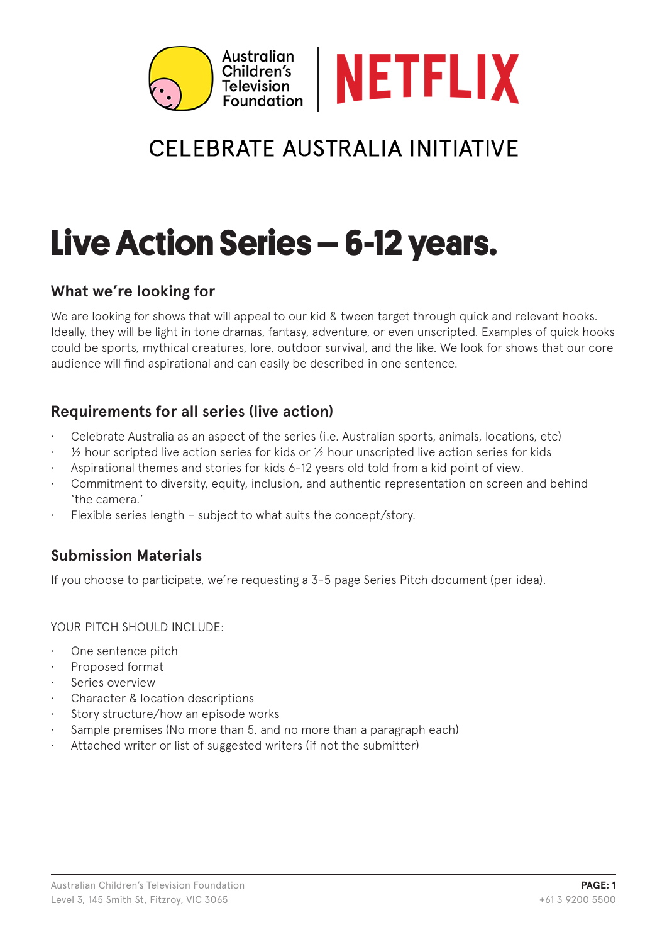

## **CELEBRATE AUSTRALIA INITIATIVE**

# **Live Action Series – 6-12 years.**

### **What we're looking for**

We are looking for shows that will appeal to our kid & tween target through quick and relevant hooks. Ideally, they will be light in tone dramas, fantasy, adventure, or even unscripted. Examples of quick hooks could be sports, mythical creatures, lore, outdoor survival, and the like. We look for shows that our core audience will find aspirational and can easily be described in one sentence.

### **Requirements for all series (live action)**

- Celebrate Australia as an aspect of the series (i.e. Australian sports, animals, locations, etc)
- $\frac{1}{2}$  hour scripted live action series for kids or  $\frac{1}{2}$  hour unscripted live action series for kids
- Aspirational themes and stories for kids 6-12 years old told from a kid point of view.
- Commitment to diversity, equity, inclusion, and authentic representation on screen and behind 'the camera.'
- Flexible series length subject to what suits the concept/story.

### **Submission Materials**

If you choose to participate, we're requesting a 3-5 page Series Pitch document (per idea).

YOUR PITCH SHOULD INCLUDE:

- One sentence pitch
- Proposed format
- Series overview
- Character & location descriptions
- Story structure/how an episode works
- Sample premises (No more than 5, and no more than a paragraph each)
- Attached writer or list of suggested writers (if not the submitter)